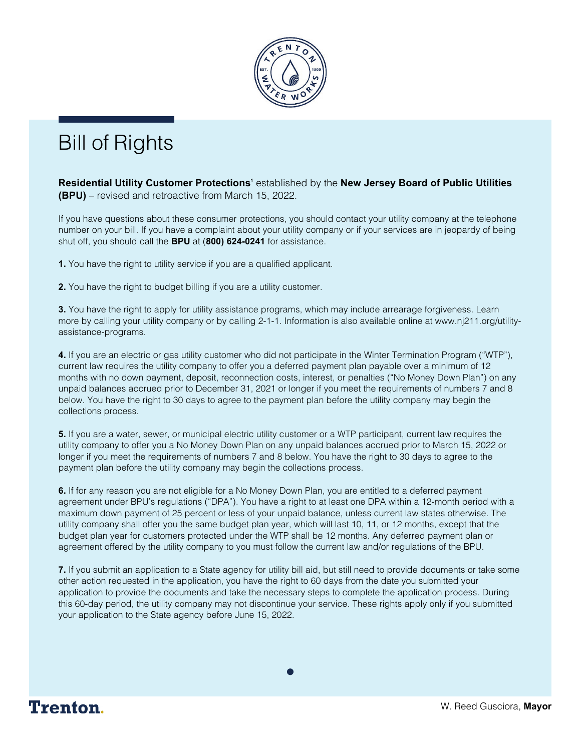

## Bill of Rights

**Residential Utility Customer Protections'** established by the **New Jersey Board of Public Utilities (BPU)** – revised and retroactive from March 15, 2022.

If you have questions about these consumer protections, you should contact your utility company at the telephone number on your bill. If you have a complaint about your utility company or if your services are in jeopardy of being shut off, you should call the **BPU** at (**800) 624-0241** for assistance.

**1.** You have the right to utility service if you are a qualified applicant.

**2.** You have the right to budget billing if you are a utility customer.

**3.** You have the right to apply for utility assistance programs, which may include arrearage forgiveness. Learn more by calling your utility company or by calling 2-1-1. Information is also available online at www.nj211.org/utilityassistance-programs.

**4.** If you are an electric or gas utility customer who did not participate in the Winter Termination Program ("WTP"), current law requires the utility company to offer you a deferred payment plan payable over a minimum of 12 months with no down payment, deposit, reconnection costs, interest, or penalties ("No Money Down Plan") on any unpaid balances accrued prior to December 31, 2021 or longer if you meet the requirements of numbers 7 and 8 below. You have the right to 30 days to agree to the payment plan before the utility company may begin the collections process.

**5.** If you are a water, sewer, or municipal electric utility customer or a WTP participant, current law requires the utility company to offer you a No Money Down Plan on any unpaid balances accrued prior to March 15, 2022 or longer if you meet the requirements of numbers 7 and 8 below. You have the right to 30 days to agree to the payment plan before the utility company may begin the collections process.

**6.** If for any reason you are not eligible for a No Money Down Plan, you are entitled to a deferred payment agreement under BPU's regulations ("DPA"). You have a right to at least one DPA within a 12-month period with a maximum down payment of 25 percent or less of your unpaid balance, unless current law states otherwise. The utility company shall offer you the same budget plan year, which will last 10, 11, or 12 months, except that the budget plan year for customers protected under the WTP shall be 12 months. Any deferred payment plan or agreement offered by the utility company to you must follow the current law and/or regulations of the BPU.

**7.** If you submit an application to a State agency for utility bill aid, but still need to provide documents or take some other action requested in the application, you have the right to 60 days from the date you submitted your application to provide the documents and take the necessary steps to complete the application process. During this 60-day period, the utility company may not discontinue your service. These rights apply only if you submitted your application to the State agency before June 15, 2022.

 $\bullet$